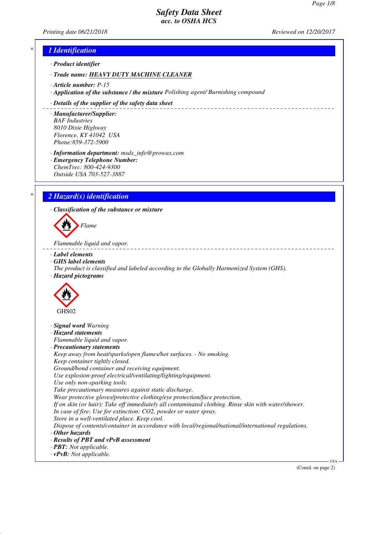*Printing date 06/21/2018 Reviewed on 12/20/2017*

### *\* 1 Identification*

*· Product identifier*

*· Trade name: HEAVY DUTY MACHINE CLEANER*

- *· Article number: P-15*
- *· Application of the substance / the mixture Polishing agent/ Burnishing compound*

#### *· Details of the supplier of the safety data sheet*

*· Manufacturer/Supplier: BAF Industries 8010 Dixie Highway Florence, KY 41042 USA Phone:859-372-5900*

*· Information department: msds\_info@prowax.com*

*· Emergency Telephone Number: ChemTrec: 800-424-9300 Outside USA 703-527-3887*

## *\* 2 Hazard(s) identification*

*· Classification of the substance or mixture*



*Flammable liquid and vapor.* 

- *· Label elements*
- *· GHS label elements*
- *The product is classified and labeled according to the Globally Harmonized System (GHS). · Hazard pictograms*



- *· Signal word Warning*
- *· Hazard statements*

*Flammable liquid and vapor.*

*· Precautionary statements*

*Keep away from heat/sparks/open flames/hot surfaces. - No smoking. Keep container tightly closed. Ground/bond container and receiving equipment.*

*Use explosion-proof electrical/ventilating/lighting/equipment.*

*Use only non-sparking tools.*

*Take precautionary measures against static discharge.*

*Wear protective gloves/protective clothing/eye protection/face protection.*

*If on skin (or hair): Take off immediately all contaminated clothing. Rinse skin with water/shower. In case of fire: Use for extinction: CO2, powder or water spray.*

*Store in a well-ventilated place. Keep cool.*

*Dispose of contents/container in accordance with local/regional/national/international regulations.*

- *· Other hazards*
- *· Results of PBT and vPvB assessment*
- *· PBT: Not applicable.*
- *· vPvB: Not applicable.*

(Contd. on page 2)

USA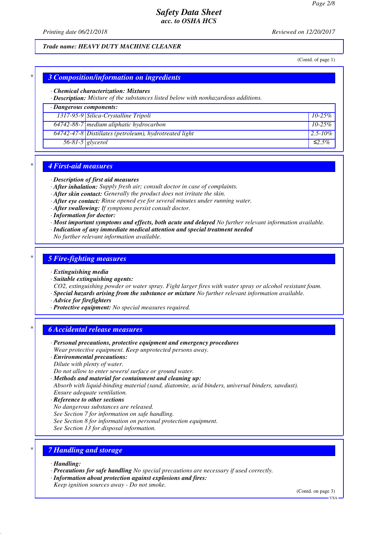*Printing date 06/21/2018 Reviewed on 12/20/2017*

#### *Trade name: HEAVY DUTY MACHINE CLEANER*

(Contd. of page 1)

### *\* 3 Composition/information on ingredients*

#### *· Chemical characterization: Mixtures*

*· Description: Mixture of the substances listed below with nonhazardous additions.*

### *· Dangerous components:*

| 1317-95-9 Silica-Crystalline Tripoli                     | $10 - 25\%$   |
|----------------------------------------------------------|---------------|
| $64742-88-7$ medium aliphatic hydrocarbon                | $10 - 25\%$   |
| $64742-47-8$ Distillates (petroleum), hydrotreated light | $12.5 - 10\%$ |
| $56-81-5$ glycerol                                       | $\leq 2.5\%$  |

#### *\* 4 First-aid measures*

- *· Description of first aid measures*
- *· After inhalation: Supply fresh air; consult doctor in case of complaints.*
- *· After skin contact: Generally the product does not irritate the skin.*
- *· After eye contact: Rinse opened eye for several minutes under running water.*
- *· After swallowing: If symptoms persist consult doctor.*
- *· Information for doctor:*
- *· Most important symptoms and effects, both acute and delayed No further relevant information available.*
- *· Indication of any immediate medical attention and special treatment needed*
- *No further relevant information available.*

#### *\* 5 Fire-fighting measures*

- *· Extinguishing media*
- *· Suitable extinguishing agents:*
- *CO2, extinguishing powder or water spray. Fight larger fires with water spray or alcohol resistant foam.*
- *· Special hazards arising from the substance or mixture No further relevant information available.*
- *· Advice for firefighters*
- *· Protective equipment: No special measures required.*

### *\* 6 Accidental release measures*

- *· Personal precautions, protective equipment and emergency procedures Wear protective equipment. Keep unprotected persons away.*
- *· Environmental precautions:*
- *Dilute with plenty of water.*
- *Do not allow to enter sewers/ surface or ground water.*
- *· Methods and material for containment and cleaning up:*
- *Absorb with liquid-binding material (sand, diatomite, acid binders, universal binders, sawdust).*
- *Ensure adequate ventilation.*
- *· Reference to other sections*
- *No dangerous substances are released.*
- *See Section 7 for information on safe handling.*
- *See Section 8 for information on personal protection equipment.*
- *See Section 13 for disposal information.*

#### *\* 7 Handling and storage*

- *· Handling:*
- *· Precautions for safe handling No special precautions are necessary if used correctly.*
- *· Information about protection against explosions and fires:*
- *Keep ignition sources away Do not smoke.*

(Contd. on page 3)

 $-<sub>U</sub><sub>SA</sub>$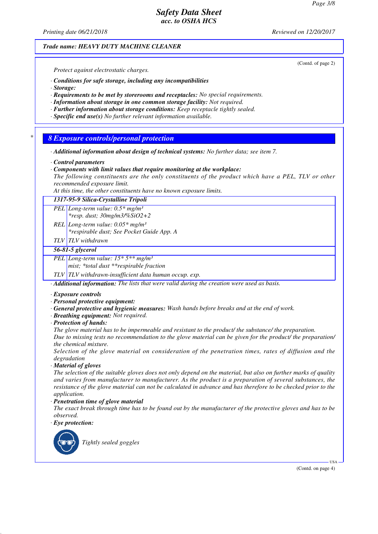## *Printing date 06/21/2018 Reviewed on 12/20/2017 Trade name: HEAVY DUTY MACHINE CLEANER* (Contd. of page 2) *Protect against electrostatic charges. · Conditions for safe storage, including any incompatibilities · Storage: · Requirements to be met by storerooms and receptacles: No special requirements. · Information about storage in one common storage facility: Not required. · Further information about storage conditions: Keep receptacle tightly sealed. · Specific end use(s) No further relevant information available. \* 8 Exposure controls/personal protection · Additional information about design of technical systems: No further data; see item 7. · Control parameters · Components with limit values that require monitoring at the workplace: The following constituents are the only constituents of the product which have a PEL, TLV or other recommended exposure limit. At this time, the other constituents have no known exposure limits. 1317-95-9 Silica-Crystalline Tripoli PEL Long-term value: 0.5\* mg/m³ \*resp. dust; 30mg/m3/%SiO2+2 REL Long-term value: 0.05\* mg/m³ \*respirable dust; See Pocket Guide App. A TLV TLV withdrawn 56-81-5 glycerol PEL Long-term value: 15\* 5\*\* mg/m³ mist; \*total dust \*\*respirable fraction TLV TLV withdrawn-insufficient data human occup. exp. · Additional information: The lists that were valid during the creation were used as basis. · Exposure controls · Personal protective equipment: · General protective and hygienic measures: Wash hands before breaks and at the end of work. · Breathing equipment: Not required. · Protection of hands: The glove material has to be impermeable and resistant to the product/ the substance/ the preparation. Due to missing tests no recommendation to the glove material can be given for the product/ the preparation/ the chemical mixture. Selection of the glove material on consideration of the penetration times, rates of diffusion and the degradation · Material of gloves The selection of the suitable gloves does not only depend on the material, but also on further marks of quality and varies from manufacturer to manufacturer. As the product is a preparation of several substances, the resistance of the glove material can not be calculated in advance and has therefore to be checked prior to the application. · Penetration time of glove material The exact break through time has to be found out by the manufacturer of the protective gloves and has to be observed. · Eye protection: Tightly sealed goggles*

(Contd. on page 4)

USA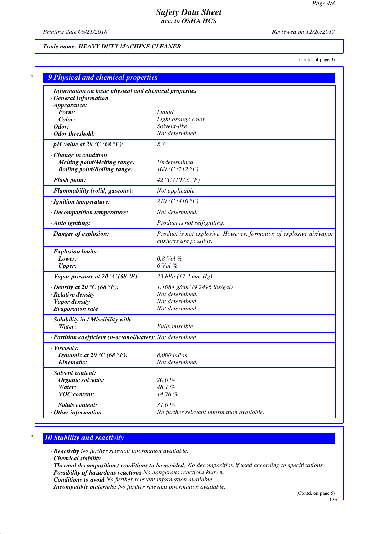*Printing date 06/21/2018 Reviewed on 12/20/2017*

### *Trade name: HEAVY DUTY MACHINE CLEANER*

(Contd. of page 3)

| · Information on basic physical and chemical properties    |                                                                                               |
|------------------------------------------------------------|-----------------------------------------------------------------------------------------------|
| <b>General Information</b>                                 |                                                                                               |
| $\cdot$ Appearance:                                        |                                                                                               |
| Form:                                                      | Liquid                                                                                        |
| Color:                                                     | Light orange color<br>Solvent-like                                                            |
| $\cdot$ Odor:<br>· Odor threshold:                         | Not determined.                                                                               |
| $\cdot$ pH-value at 20 $\degree$ C (68 $\degree$ F):       | 8.3                                                                                           |
| Change in condition                                        |                                                                                               |
| <b>Melting point/Melting range:</b>                        | Undetermined.                                                                                 |
| <b>Boiling point/Boiling range:</b>                        | 100 °C (212 °F)                                                                               |
| · Flash point:                                             | 42 °C (107.6 °F)                                                                              |
| · Flammability (solid, gaseous):                           | Not applicable.                                                                               |
| · Ignition temperature:                                    | 210 °C (410 °F)                                                                               |
| · Decomposition temperature:                               | Not determined.                                                                               |
| · Auto igniting:                                           | Product is not selfigniting.                                                                  |
| · Danger of explosion:                                     | Product is not explosive. However, formation of explosive air/vapor<br>mixtures are possible. |
| · Explosion limits:                                        |                                                                                               |
| Lower:                                                     | $0.8$ Vol $%$                                                                                 |
| <b>Upper:</b>                                              | 6 Vol %                                                                                       |
| $\cdot$ Vapor pressure at 20 °C (68 °F):                   | 23 hPa $(17.3 \text{ mm Hg})$                                                                 |
| $\cdot$ Density at 20 °C (68 °F):                          | 1.1084 g/cm <sup>3</sup> (9.2496 lbs/gal)                                                     |
| · Relative density                                         | Not determined.                                                                               |
| · Vapor density                                            | Not determined.                                                                               |
| $\cdot$ Evaporation rate                                   | Not determined.                                                                               |
| · Solubility in / Miscibility with                         |                                                                                               |
| Water:                                                     | Fully miscible.                                                                               |
| · Partition coefficient (n-octanol/water): Not determined. |                                                                                               |
| · Viscosity:                                               |                                                                                               |
| Dynamic at 20 °C (68 °F):                                  | 8,000 mPas                                                                                    |
| Kinematic:                                                 | Not determined.                                                                               |
| · Solvent content:                                         |                                                                                               |
| <b>Organic solvents:</b>                                   | 20.0%                                                                                         |
| Water:                                                     | 48.1%                                                                                         |
| <b>VOC</b> content:                                        | 14.76 %                                                                                       |
| Solids content:                                            | 31.0%                                                                                         |
| $\cdot$ Other information                                  | No further relevant information available.                                                    |

### *\* 10 Stability and reactivity*

*· Reactivity No further relevant information available.*

*· Chemical stability*

- *· Thermal decomposition / conditions to be avoided: No decomposition if used according to specifications.*
- *· Possibility of hazardous reactions No dangerous reactions known.*
- *· Conditions to avoid No further relevant information available.*
- *· Incompatible materials: No further relevant information available.*

(Contd. on page 5)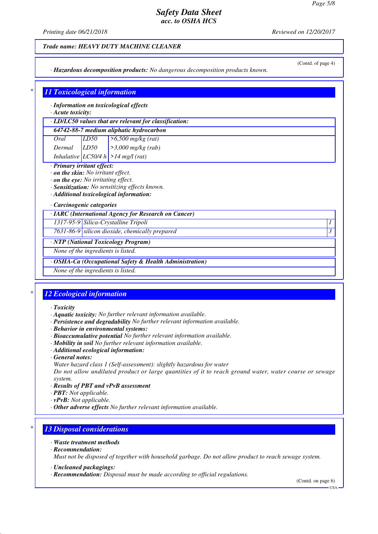*Printing date 06/21/2018 Reviewed on 12/20/2017*

#### *Trade name: HEAVY DUTY MACHINE CLEANER*

*· Hazardous decomposition products: No dangerous decomposition products known.*

## (Contd. of page 4)

## *\* 11 Toxicological information*

*· Information on toxicological effects*

### *· Acute toxicity:*

|      |      | $\cdot$ LD/LC50 values that are relevant for classification: |
|------|------|--------------------------------------------------------------|
|      |      | 64742-88-7 medium aliphatic hydrocarbon                      |
| Oral | LD50 | $\geq 6,500$ mg/kg (rat)                                     |

| Dermal | LD50 | $\vert$ > 3,000 mg/kg (rab)           |
|--------|------|---------------------------------------|
|        |      | Inhalative $LC50/4 h$ > 14 mg/l (rat) |

#### *· Primary irritant effect:*

- *· on the skin: No irritant effect.*
- *· on the eye: No irritating effect.*
- *· Sensitization: No sensitizing effects known.*
- *· Additional toxicological information:*

#### *· Carcinogenic categories*

| · IARC (International Agency for Research on Cancer) |  |  |  |  |  |  |
|------------------------------------------------------|--|--|--|--|--|--|
|------------------------------------------------------|--|--|--|--|--|--|

*1317-95-9 Silica-Crystalline Tripoli 1* 

*7631-86-9 silicon dioxide, chemically prepared 3* 

*· NTP (National Toxicology Program)*

*None of the ingredients is listed.*

#### *· OSHA-Ca (Occupational Safety & Health Administration)*

*None of the ingredients is listed.*

## *\* 12 Ecological information*

- *· Toxicity*
- *· Aquatic toxicity: No further relevant information available.*
- *· Persistence and degradability No further relevant information available.*
- *· Behavior in environmental systems:*
- *· Bioaccumulative potential No further relevant information available.*
- *· Mobility in soil No further relevant information available.*
- *· Additional ecological information:*
- *· General notes:*
- *Water hazard class 1 (Self-assessment): slightly hazardous for water*

*Do not allow undiluted product or large quantities of it to reach ground water, water course or sewage system.*

- *· Results of PBT and vPvB assessment*
- *· PBT: Not applicable.*
- *· vPvB: Not applicable.*
- *· Other adverse effects No further relevant information available.*

## *\* 13 Disposal considerations*

- *· Waste treatment methods*
- *· Recommendation:*

*Must not be disposed of together with household garbage. Do not allow product to reach sewage system.*

- *· Uncleaned packagings:*
- *· Recommendation: Disposal must be made according to official regulations.*

(Contd. on page 6)

 $-<sup>1</sup>S<sub>A</sub>$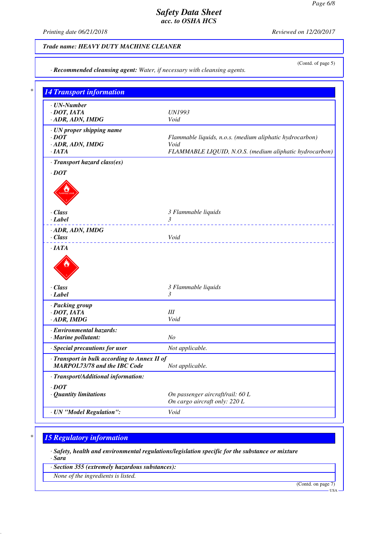*Printing date 06/21/2018 Reviewed on 12/20/2017*

### *Trade name: HEAVY DUTY MACHINE CLEANER*

*· Recommended cleansing agent: Water, if necessary with cleansing agents.*

(Contd. of page 5)

| <b>14 Transport information</b>                                      |                                                                   |
|----------------------------------------------------------------------|-------------------------------------------------------------------|
| $\cdot$ UN-Number                                                    |                                                                   |
| $\cdot$ DOT, IATA<br>· ADR, ADN, IMDG                                | <b>UN1993</b><br>Void                                             |
|                                                                      |                                                                   |
| · UN proper shipping name                                            |                                                                   |
| $\cdot$ <i>DOT</i><br>· ADR, ADN, IMDG                               | Flammable liquids, n.o.s. (medium aliphatic hydrocarbon)<br>Void  |
| ·IATA                                                                | FLAMMABLE LIQUID, N.O.S. (medium aliphatic hydrocarbon)           |
| · Transport hazard class(es)                                         |                                                                   |
| $\cdot$ DOT                                                          |                                                                   |
|                                                                      |                                                                   |
|                                                                      |                                                                   |
|                                                                      |                                                                   |
|                                                                      |                                                                   |
| $\cdot$ Class                                                        | 3 Flammable liquids                                               |
| $\cdot$ <i>Label</i>                                                 | 3                                                                 |
| · ADR, ADN, IMDG                                                     | <u>.</u>                                                          |
| · Class                                                              | Void                                                              |
|                                                                      |                                                                   |
| ·IATA                                                                |                                                                   |
| $\cdot$ Class                                                        | 3 Flammable liquids                                               |
|                                                                      | 3                                                                 |
| $\cdot$ Label<br>· Packing group                                     |                                                                   |
| $\cdot$ DOT, IATA                                                    | III                                                               |
|                                                                      | Void                                                              |
|                                                                      |                                                                   |
| $\cdot$ ADR, IMDG<br>· Environmental hazards:<br>· Marine pollutant: | N <sub>O</sub>                                                    |
| · Special precautions for user                                       | Not applicable.                                                   |
| · Transport in bulk according to Annex II of                         |                                                                   |
| MARPOL73/78 and the IBC Code                                         | Not applicable.                                                   |
|                                                                      |                                                                   |
| · Transport/Additional information:                                  |                                                                   |
| $\cdot$ DOT                                                          |                                                                   |
| · Quantity limitations                                               | On passenger aircraft/rail: 60 L<br>On cargo aircraft only: 220 L |

# *\* 15 Regulatory information*

*· Safety, health and environmental regulations/legislation specific for the substance or mixture · Sara*

*· Section 355 (extremely hazardous substances):*

*None of the ingredients is listed.*

(Contd. on page 7)

USA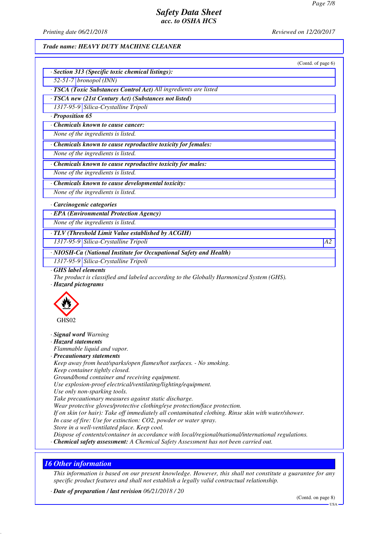*Printing date 06/21/2018 Reviewed on 12/20/2017*

## *Trade name: HEAVY DUTY MACHINE CLEANER*

|                                              | (Contd. of page 6)<br>· Section 313 (Specific toxic chemical listings):                                                                             |  |
|----------------------------------------------|-----------------------------------------------------------------------------------------------------------------------------------------------------|--|
| $52-51-7$ bronopol (INN)                     |                                                                                                                                                     |  |
|                                              | · TSCA (Toxic Substances Control Act) All ingredients are listed                                                                                    |  |
|                                              | · TSCA new (21st Century Act) (Substances not listed)                                                                                               |  |
|                                              | 1317-95-9 Silica-Crystalline Tripoli                                                                                                                |  |
| · Proposition 65                             |                                                                                                                                                     |  |
|                                              | Chemicals known to cause cancer:                                                                                                                    |  |
|                                              | None of the ingredients is listed.                                                                                                                  |  |
|                                              | · Chemicals known to cause reproductive toxicity for females:                                                                                       |  |
|                                              | None of the ingredients is listed.                                                                                                                  |  |
|                                              | · Chemicals known to cause reproductive toxicity for males:                                                                                         |  |
|                                              | None of the ingredients is listed.                                                                                                                  |  |
|                                              | · Chemicals known to cause developmental toxicity:                                                                                                  |  |
|                                              | None of the ingredients is listed.                                                                                                                  |  |
| · Carcinogenic categories                    |                                                                                                                                                     |  |
|                                              | · EPA (Environmental Protection Agency)                                                                                                             |  |
|                                              | None of the ingredients is listed.                                                                                                                  |  |
|                                              | · TLV (Threshold Limit Value established by ACGIH)                                                                                                  |  |
|                                              | 1317-95-9 Silica-Crystalline Tripoli                                                                                                                |  |
|                                              | · NIOSH-Ca (National Institute for Occupational Safety and Health)                                                                                  |  |
|                                              | 1317-95-9 Silica-Crystalline Tripoli                                                                                                                |  |
| GHS label elements<br>· Hazard pictograms    | The product is classified and labeled according to the Globally Harmonized System (GHS).                                                            |  |
| GHS02                                        |                                                                                                                                                     |  |
| · Signal word Warning<br>· Hazard statements | Flammable liquid and vapor.                                                                                                                         |  |
| · Precautionary statements                   |                                                                                                                                                     |  |
|                                              | Keep away from heat/sparks/open flames/hot surfaces. - No smoking.                                                                                  |  |
|                                              | Keep container tightly closed.<br>Ground/bond container and receiving equipment.                                                                    |  |
|                                              | Use explosion-proof electrical/ventilating/lighting/equipment.                                                                                      |  |
|                                              | Use only non-sparking tools.                                                                                                                        |  |
|                                              | Take precautionary measures against static discharge.                                                                                               |  |
|                                              | Wear protective gloves/protective clothing/eye protection/face protection.                                                                          |  |
|                                              | If on skin (or hair): Take off immediately all contaminated clothing. Rinse skin with water/shower.                                                 |  |
|                                              | In case of fire: Use for extinction: CO2, powder or water spray.                                                                                    |  |
|                                              | Store in a well-ventilated place. Keep cool.<br>Dispose of contents/container in accordance with local/regional/national/international regulations. |  |
|                                              | · Chemical safety assessment: A Chemical Safety Assessment has not been carried out.                                                                |  |

*This information is based on our present knowledge. However, this shall not constitute a guarantee for any specific product features and shall not establish a legally valid contractual relationship.*

*· Date of preparation / last revision 06/21/2018 / 20*

(Contd. on page 8)

USA